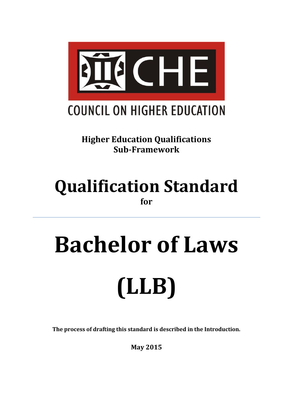

**Higher Education Qualifications Sub-Framework**

# **Qualification Standard for**

# **Bachelor of Laws (LLB)**

**The process of drafting this standard is described in the Introduction.**

**May 2015**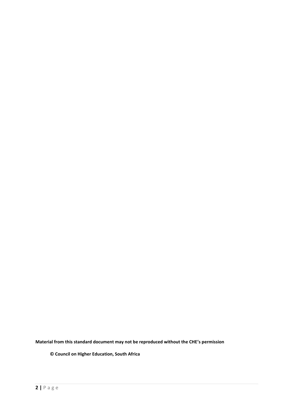**Material from this standard document may not be reproduced without the CHE's permission**

 **© Council on Higher Education, South Africa**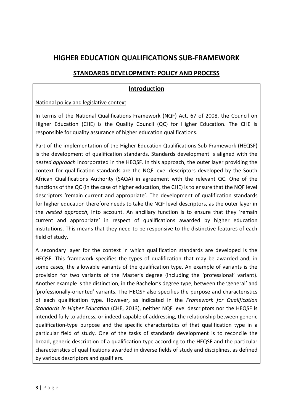#### **HIGHER EDUCATION QUALIFICATIONS SUB-FRAMEWORK**

#### **STANDARDS DEVELOPMENT: POLICY AND PROCESS**

#### **Introduction**

#### National policy and legislative context

In terms of the National Qualifications Framework (NQF) Act, 67 of 2008, the Council on Higher Education (CHE) is the Quality Council (QC) for Higher Education. The CHE is responsible for quality assurance of higher education qualifications.

Part of the implementation of the Higher Education Qualifications Sub-Framework (HEQSF) is the development of qualification standards. Standards development is aligned with the *nested approach* incorporated in the HEQSF. In this approach, the outer layer providing the context for qualification standards are the NQF level descriptors developed by the South African Qualifications Authority (SAQA) in agreement with the relevant QC. One of the functions of the QC (in the case of higher education, the CHE) is to ensure that the NQF level descriptors 'remain current and appropriate'. The development of qualification standards for higher education therefore needs to take the NQF level descriptors, as the outer layer in the *nested approach*, into account. An ancillary function is to ensure that they 'remain current and appropriate' in respect of qualifications awarded by higher education institutions. This means that they need to be responsive to the distinctive features of each field of study.

A secondary layer for the context in which qualification standards are developed is the HEQSF. This framework specifies the types of qualification that may be awarded and, in some cases, the allowable variants of the qualification type. An example of variants is the provision for two variants of the Master's degree (including the 'professional' variant). Another example is the distinction, in the Bachelor's degree type, between the 'general' and 'professionally-oriented' variants. The HEQSF also specifies the purpose and characteristics of each qualification type. However, as indicated in the *Framework for Qualification Standards in Higher Education* (CHE, 2013), neither NQF level descriptors nor the HEQSF is intended fully to address, or indeed capable of addressing, the relationship between generic qualification-type purpose and the specific characteristics of that qualification type in a particular field of study. One of the tasks of standards development is to reconcile the broad, generic description of a qualification type according to the HEQSF and the particular characteristics of qualifications awarded in diverse fields of study and disciplines, as defined by various descriptors and qualifiers.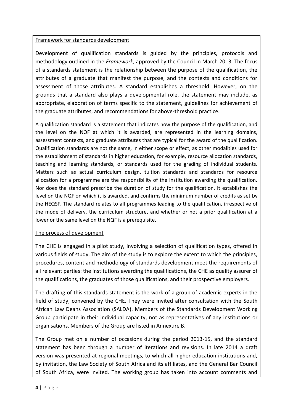#### Framework for standards development

Development of qualification standards is guided by the principles, protocols and methodology outlined in the *Framework*, approved by the Council in March 2013. The focus of a standards statement is the relationship between the purpose of the qualification, the attributes of a graduate that manifest the purpose, and the contexts and conditions for assessment of those attributes. A standard establishes a threshold. However, on the grounds that a standard also plays a developmental role, the statement may include, as appropriate, elaboration of terms specific to the statement, guidelines for achievement of the graduate attributes, and recommendations for above-threshold practice.

A qualification standard is a statement that indicates how the purpose of the qualification, and the level on the NQF at which it is awarded, are represented in the learning domains, assessment contexts, and graduate attributes that are typical for the award of the qualification. Qualification standards are not the same, in either scope or effect, as other modalities used for the establishment of standards in higher education, for example, resource allocation standards, teaching and learning standards, or standards used for the grading of individual students. Matters such as actual curriculum design, tuition standards and standards for resource allocation for a programme are the responsibility of the institution awarding the qualification. Nor does the standard prescribe the duration of study for the qualification. It establishes the level on the NQF on which it is awarded, and confirms the minimum number of credits as set by the HEQSF. The standard relates to all programmes leading to the qualification, irrespective of the mode of delivery, the curriculum structure, and whether or not a prior qualification at a lower or the same level on the NQF is a prerequisite.

#### The process of development

The CHE is engaged in a pilot study, involving a selection of qualification types, offered in various fields of study. The aim of the study is to explore the extent to which the principles, procedures, content and methodology of standards development meet the requirements of all relevant parties: the institutions awarding the qualifications, the CHE as quality assurer of the qualifications, the graduates of those qualifications, and their prospective employers.

The drafting of this standards statement is the work of a group of academic experts in the field of study, convened by the CHE. They were invited after consultation with the South African Law Deans Association (SALDA). Members of the Standards Development Working Group participate in their individual capacity, not as representatives of any institutions or organisations. Members of the Group are listed in Annexure B.

The Group met on a number of occasions during the period 2013-15, and the standard statement has been through a number of iterations and revisions. In late 2014 a draft version was presented at regional meetings, to which all higher education institutions and, by invitation, the Law Society of South Africa and its affiliates, and the General Bar Council of South Africa, were invited. The working group has taken into account comments and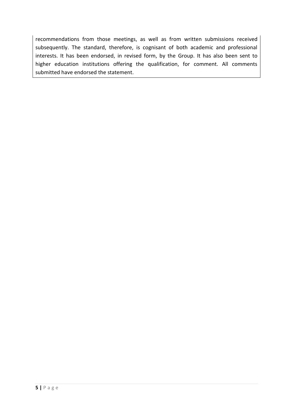recommendations from those meetings, as well as from written submissions received subsequently. The standard, therefore, is cognisant of both academic and professional interests. It has been endorsed, in revised form, by the Group. It has also been sent to higher education institutions offering the qualification, for comment. All comments submitted have endorsed the statement.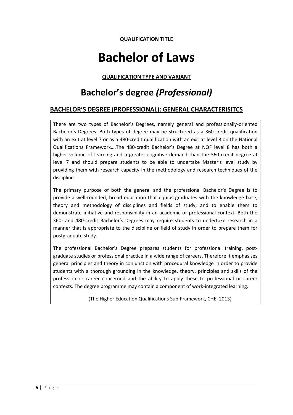#### **QUALIFICATION TITLE**

## **Bachelor of Laws**

#### **QUALIFICATION TYPE AND VARIANT**

## **Bachelor's degree** *(Professional)*

#### **BACHELOR'S DEGREE (PROFESSIONAL): GENERAL CHARACTERISITCS**

There are two types of Bachelor's Degrees, namely general and professionally-oriented Bachelor's Degrees. Both types of degree may be structured as a 360-credit qualification with an exit at level 7 or as a 480-credit qualification with an exit at level 8 on the National Qualifications Framework….The 480-credit Bachelor's Degree at NQF level 8 has both a higher volume of learning and a greater cognitive demand than the 360-credit degree at level 7 and should prepare students to be able to undertake Master's level study by providing them with research capacity in the methodology and research techniques of the discipline.

The primary purpose of both the general and the professional Bachelor's Degree is to provide a well-rounded, broad education that equips graduates with the knowledge base, theory and methodology of disciplines and fields of study, and to enable them to demonstrate initiative and responsibility in an academic or professional context. Both the 360- and 480-credit Bachelor's Degrees may require students to undertake research in a manner that is appropriate to the discipline or field of study in order to prepare them for postgraduate study.

The professional Bachelor's Degree prepares students for professional training, postgraduate studies or professional practice in a wide range of careers. Therefore it emphasises general principles and theory in conjunction with procedural knowledge in order to provide students with a thorough grounding in the knowledge, theory, principles and skills of the profession or career concerned and the ability to apply these to professional or career contexts. The degree programme may contain a component of work-integrated learning.

(The Higher Education Qualifications Sub-Framework, CHE, 2013)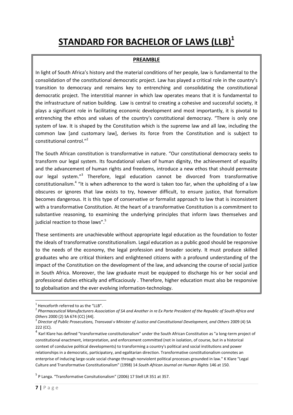## **STANDARD FOR BACHELOR OF LAWS (LLB)<sup>1</sup>**

#### **PREAMBLE**

In light of South Africa's history and the material conditions of her people, law is fundamental to the consolidation of the constitutional democratic project. Law has played a critical role in the country's transition to democracy and remains key to entrenching and consolidating the constitutional democratic project. The interstitial manner in which law operates means that it is fundamental to the infrastructure of nation building. Law is central to creating a cohesive and successful society, it plays a significant role in facilitating economic development and most importantly, it is pivotal to entrenching the ethos and values of the country's constitutional democracy. "There is only one system of law. It is shaped by the Constitution which is the supreme law and all law, including the common law [and customary law], derives its force from the Constitution and is subject to constitutional control."<sup>2</sup>

The South African constitution is transformative in nature. "Our constitutional democracy seeks to transform our legal system. Its foundational values of human dignity, the achievement of equality and the advancement of human rights and freedoms, introduce a new ethos that should permeate our legal system."<sup>3</sup> Therefore, legal education cannot be divorced from transformative constitutionalism.<sup>4</sup> "It is when adherence to the word is taken too far, when the upholding of a law obscures or ignores that law exists to try, however difficult, to ensure justice, that formalism becomes dangerous. It is this type of conservative or formalist approach to law that is inconsistent with a transformative Constitution. At the heart of a transformative Constitution is a commitment to substantive reasoning, to examining the underlying principles that inform laws themselves and judicial reaction to those laws".<sup>5</sup>

These sentiments are unachievable without appropriate legal education as the foundation to foster the ideals of transformative constitutionalism. Legal education as a public good should be responsive to the needs of the economy, the legal profession and broader society. It must produce skilled graduates who are critical thinkers and enlightened citizens with a profound understanding of the impact of the Constitution on the development of the law, and advancing the course of social justice in South Africa. Moreover, the law graduate must be equipped to discharge his or her social and professional duties ethically and efficaciously . Therefore, higher education must also be responsive to globalisation and the ever evolving information-technology.

<sup>5</sup> P Langa. "Transformative Consitutionalism" (2006) 17 Stell LR 351 at 357.

 $1$  Henceforth referred to as the "LLB".

<sup>2</sup> *Pharmaceutical Manufacturers Association of SA and Another in re Ex Parte President of the Republic of South Africa and Others* 2000 (2) SA 674 (CC) [44].

<sup>&</sup>lt;sup>3</sup> Director of Public Prosecutions, Transvaal v Minister of Justice and Constitutional Development, and Others 2009 (4) SA 222 (CC).

<sup>&</sup>lt;sup>4</sup> Karl Klare has defined "transformative constitutionalism" under the South African Constitution as "a long-term project of constitutional enactment, interpretation, and enforcement committed (not in isolation, of course, but in a historical context of conducive political developments) to transforming a country's political and social institutions and power relationships in a democratic, participatory, and egalitarian direction. Transformative constitutionalism connotes an enterprise of inducing large-scale social change through nonviolent political processes grounded in law." K Klare "Legal Culture and Transformative Constitutionalism" (1998) 14 *South African Journal on Human Rights* 146 at 150.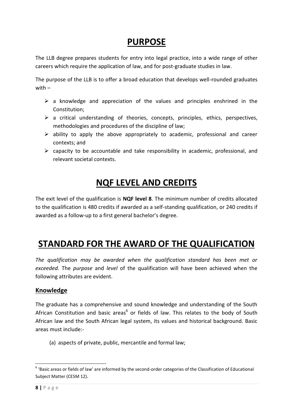## **PURPOSE**

The LLB degree prepares students for entry into legal practice, into a wide range of other careers which require the application of law, and for post-graduate studies in law.

The purpose of the LLB is to offer a broad education that develops well-rounded graduates with –

- $\triangleright$  a knowledge and appreciation of the values and principles enshrined in the Constitution;
- $\triangleright$  a critical understanding of theories, concepts, principles, ethics, perspectives, methodologies and procedures of the discipline of law;
- $\triangleright$  ability to apply the above appropriately to academic, professional and career contexts; and
- $\triangleright$  capacity to be accountable and take responsibility in academic, professional, and relevant societal contexts.

## **NQF LEVEL AND CREDITS**

The exit level of the qualification is **NQF level 8**. The minimum number of credits allocated to the qualification is 480 credits if awarded as a self-standing qualification, or 240 credits if awarded as a follow-up to a first general bachelor's degree.

## **STANDARD FOR THE AWARD OF THE QUALIFICATION**

*The qualification may be awarded when the qualification standard has been met or exceeded.* The *purpose* and *level* of the qualification will have been achieved when the following attributes are evident.

#### **Knowledge**

The graduate has a comprehensive and sound knowledge and understanding of the South African Constitution and basic areas<sup>6</sup> or fields of law. This relates to the body of South African law and the South African legal system, its values and historical background. Basic areas must include:-

(a) aspects of private, public, mercantile and formal law;

 $<sup>6</sup>$  'Basic areas or fields of law' are informed by the second-order categories of the Classification of Educational</sup> Subject Matter (CESM 12).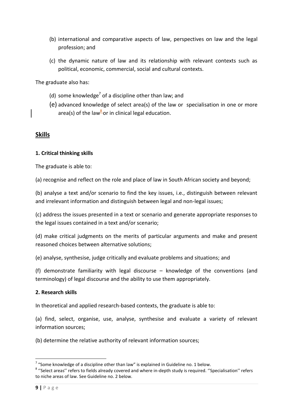- (b) international and comparative aspects of law, perspectives on law and the legal profession; and
- (c) the dynamic nature of law and its relationship with relevant contexts such as political, economic, commercial, social and cultural contexts.

The graduate also has:

- (d) some knowledge<sup>7</sup> of a discipline other than law; and
- (e) advanced knowledge of select area(s) of the law or specialisation in one or more area(s) of the law<sup>8</sup>or in clinical legal education.

#### **Skills**

#### **1. Critical thinking skills**

The graduate is able to:

(a) recognise and reflect on the role and place of law in South African society and beyond;

(b) analyse a text and/or scenario to find the key issues, i.e., distinguish between relevant and irrelevant information and distinguish between legal and non-legal issues;

(c) address the issues presented in a text or scenario and generate appropriate responses to the legal issues contained in a text and/or scenario;

(d) make critical judgments on the merits of particular arguments and make and present reasoned choices between alternative solutions;

(e) analyse, synthesise, judge critically and evaluate problems and situations; and

(f) demonstrate familiarity with legal discourse – knowledge of the conventions (and terminology) of legal discourse and the ability to use them appropriately.

#### **2. Research skills**

In theoretical and applied research-based contexts, the graduate is able to:

(a) find, select, organise, use, analyse, synthesise and evaluate a variety of relevant information sources;

(b) determine the relative authority of relevant information sources;

 7 "Some knowledge of a discipline other than law" is explained in Guideline no. 1 below.

<sup>&</sup>lt;sup>8</sup> "Select areas" refers to fields already covered and where in-depth study is required. "Specialisation" refers to niche areas of law. See Guideline no. 2 below.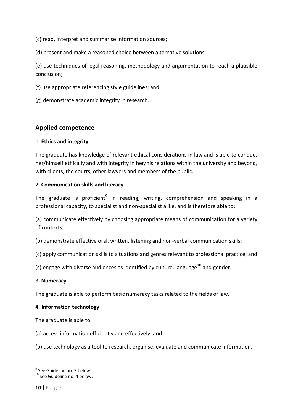(c) read, interpret and summarise information sources;

(d) present and make a reasoned choice between alternative solutions;

(e) use techniques of legal reasoning, methodology and argumentation to reach a plausible conclusion;

(f) use appropriate referencing style guidelines; and

(g) demonstrate academic integrity in research.

#### **Applied competence**

#### 1. **Ethics and integrity**

The graduate has knowledge of relevant ethical considerations in law and is able to conduct her/himself ethically and with integrity in her/his relations within the university and beyond, with clients, the courts, other lawyers and members of the public.

#### 2. **Communication skills and literacy**

The graduate is proficient $^9$  in reading, writing, comprehension and speaking in a professional capacity, to specialist and non-specialist alike, and is therefore able to:

(a) communicate effectively by choosing appropriate means of communication for a variety of contexts;

(b) demonstrate effective oral, written, listening and non-verbal communication skills;

(c) apply communication skills to situations and genres relevant to professional practice; and

(c) engage with diverse audiences as identified by culture, language<sup>10</sup> and gender.

#### 3. **Numeracy**

The graduate is able to perform basic numeracy tasks related to the fields of law.

#### **4. Information technology**

The graduate is able to:

(a) access information efficiently and effectively; and

(b) use technology as a tool to research, organise, evaluate and communicate information.

<sup>&</sup>lt;sup>9</sup> See Guideline no. 3 below.

<sup>10</sup> See Guideline no. 4 below.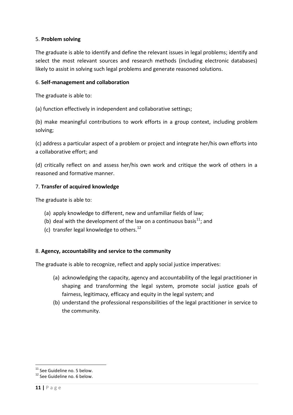#### 5. **Problem solving**

The graduate is able to identify and define the relevant issues in legal problems; identify and select the most relevant sources and research methods (including electronic databases) likely to assist in solving such legal problems and generate reasoned solutions.

#### 6. **Self-management and collaboration**

The graduate is able to:

(a) function effectively in independent and collaborative settings;

(b) make meaningful contributions to work efforts in a group context, including problem solving;

(c) address a particular aspect of a problem or project and integrate her/his own efforts into a collaborative effort; and

(d) critically reflect on and assess her/his own work and critique the work of others in a reasoned and formative manner.

#### 7. **Transfer of acquired knowledge**

The graduate is able to:

- (a) apply knowledge to different, new and unfamiliar fields of law;
- (b) deal with the development of the law on a continuous basis<sup>11</sup>; and
- (c) transfer legal knowledge to others.<sup>12</sup>

#### 8. **Agency, accountability and service to the community**

The graduate is able to recognize, reflect and apply social justice imperatives:

- (a) acknowledging the capacity, agency and accountability of the legal practitioner in shaping and transforming the legal system, promote social justice goals of fairness, legitimacy, efficacy and equity in the legal system; and
- (b) understand the professional responsibilities of the legal practitioner in service to the community.

<sup>&</sup>lt;sup>11</sup> See Guideline no. 5 below.

<sup>&</sup>lt;sup>12</sup> See Guideline no. 6 below.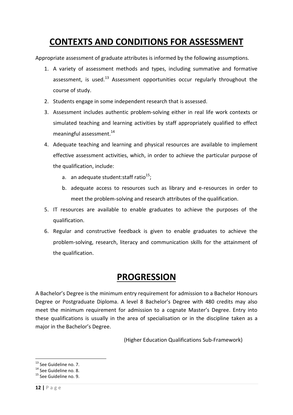## **CONTEXTS AND CONDITIONS FOR ASSESSMENT**

Appropriate assessment of graduate attributes is informed by the following assumptions.

- 1. A variety of assessment methods and types, including summative and formative assessment, is used.<sup>13</sup> Assessment opportunities occur regularly throughout the course of study.
- 2. Students engage in some independent research that is assessed.
- 3. Assessment includes authentic problem-solving either in real life work contexts or simulated teaching and learning activities by staff appropriately qualified to effect meaningful assessment.<sup>14</sup>
- 4. Adequate teaching and learning and physical resources are available to implement effective assessment activities, which, in order to achieve the particular purpose of the qualification, include:
	- a. an adequate student: staff ratio $^{15}$ ;
	- b. adequate access to resources such as library and e-resources in order to meet the problem-solving and research attributes of the qualification.
- 5. IT resources are available to enable graduates to achieve the purposes of the qualification.
- 6. Regular and constructive feedback is given to enable graduates to achieve the problem-solving, research, literacy and communication skills for the attainment of the qualification.

### **PROGRESSION**

A Bachelor's Degree is the minimum entry requirement for admission to a Bachelor Honours Degree or Postgraduate Diploma. A level 8 Bachelor's Degree with 480 credits may also meet the minimum requirement for admission to a cognate Master's Degree. Entry into these qualifications is usually in the area of specialisation or in the discipline taken as a major in the Bachelor's Degree.

(Higher Education Qualifications Sub-Framework)

**<sup>.</sup>** <sup>13</sup> See Guideline no. 7.

<sup>&</sup>lt;sup>14</sup> See Guideline no. 8.

<sup>15</sup> See Guideline no. 9.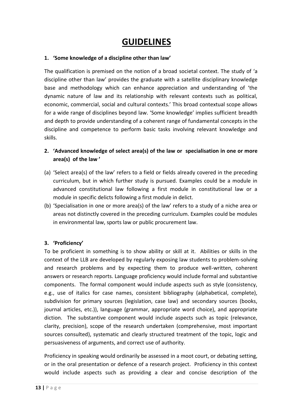## **GUIDELINES**

#### **1. 'Some knowledge of a discipline other than law'**

The qualification is premised on the notion of a broad societal context. The study of 'a discipline other than law' provides the graduate with a satellite disciplinary knowledge base and methodology which can enhance appreciation and understanding of 'the dynamic nature of law and its relationship with relevant contexts such as political, economic, commercial, social and cultural contexts.' This broad contextual scope allows for a wide range of disciplines beyond law. 'Some knowledge' implies sufficient breadth and depth to provide understanding of a coherent range of fundamental concepts in the discipline and competence to perform basic tasks involving relevant knowledge and skills.

#### **2. 'Advanced knowledge of select area(s) of the law or specialisation in one or more area(s) of the law '**

- (a) 'Select area(s) of the law' refers to a field or fields already covered in the preceding curriculum, but in which further study is pursued. Examples could be a module in advanced constitutional law following a first module in constitutional law or a module in specific delicts following a first module in delict.
- (b) 'Specialisation in one or more area(s) of the law' refers to a study of a niche area or areas not distinctly covered in the preceding curriculum. Examples could be modules in environmental law, sports law or public procurement law.

#### **3. 'Proficiency'**

To be proficient in something is to show ability or skill at it. Abilities or skills in the context of the LLB are developed by regularly exposing law students to problem-solving and research problems and by expecting them to produce well-written, coherent answers or research reports. Language proficiency would include formal and substantive components. The formal component would include aspects such as style (consistency, e.g., use of italics for case names, consistent bibliography (alphabetical, complete), subdivision for primary sources (legislation, case law) and secondary sources (books, journal articles, etc.)), language (grammar, appropriate word choice), and appropriate diction. The substantive component would include aspects such as topic (relevance, clarity, precision), scope of the research undertaken (comprehensive, most important sources consulted), systematic and clearly structured treatment of the topic, logic and persuasiveness of arguments, and correct use of authority.

Proficiency in speaking would ordinarily be assessed in a moot court, or debating setting, or in the oral presentation or defence of a research project. Proficiency in this context would include aspects such as providing a clear and concise description of the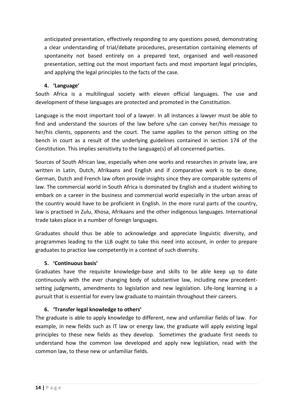anticipated presentation, effectively responding to any questions posed, demonstrating a clear understanding of trial/debate procedures, presentation containing elements of spontaneity not based entirely on a prepared text, organised and well-reasoned presentation, setting out the most important facts and most important legal principles, and applying the legal principles to the facts of the case.

#### **4. 'Language'**

South Africa is a multilingual society with eleven official languages. The use and development of these languages are protected and promoted in the Constitution.

Language is the most important tool of a lawyer. In all instances a lawyer must be able to find and understand the sources of the law before s/he can convey her/his message to her/his clients, opponents and the court. The same applies to the person sitting on the bench in court as a result of the underlying guidelines contained in section 174 of the Constitution. This implies sensitivity to the language(s) of all concerned parties.

Sources of South African law, especially when one works and researches in private law, are written in Latin, Dutch, Afrikaans and English and if comparative work is to be done, German, Dutch and French law often provide insights since they are comparable systems of law. The commercial world in South Africa is dominated by English and a student wishing to embark on a career in the business and commercial world especially in the urban areas of the country would have to be proficient in English. In the more rural parts of the country, law is practised in Zulu, Xhosa, Afrikaans and the other indigenous languages. International trade takes place in a number of foreign languages.

Graduates should thus be able to acknowledge and appreciate linguistic diversity, and programmes leading to the LLB ought to take this need into account, in order to prepare graduates to practice law competently in a context of such diversity.

#### **5. 'Continuous basis'**

Graduates have the requisite knowledge-base and skills to be able keep up to date continuously with the ever changing body of substantive law, including new precedentsetting judgments, amendments to legislation and new legislation. Life-long learning is a pursuit that is essential for every law graduate to maintain throughout their careers.

#### **6. 'Transfer legal knowledge to others'**

The graduate is able to apply knowledge to different, new and unfamiliar fields of law. For example, in new fields such as IT law or energy law, the graduate will apply existing legal principles to these new fields as they develop. Sometimes the graduate first needs to understand how the common law developed and apply new legislation, read with the common law, to these new or unfamiliar fields.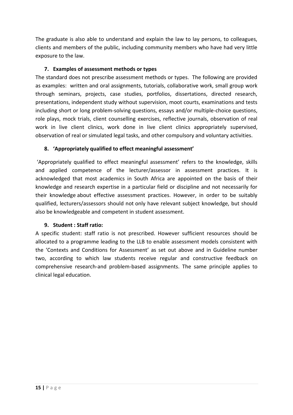The graduate is also able to understand and explain the law to lay persons, to colleagues, clients and members of the public, including community members who have had very little exposure to the law.

#### **7. Examples of assessment methods or types**

The standard does not prescribe assessment methods or types. The following are provided as examples: written and oral assignments, tutorials, collaborative work, small group work through seminars, projects, case studies, portfolios, dissertations, directed research, presentations, independent study without supervision, moot courts, examinations and tests including short or long problem-solving questions, essays and/or multiple-choice questions, role plays, mock trials, client counselling exercises, reflective journals, observation of real work in live client clinics, work done in live client clinics appropriately supervised, observation of real or simulated legal tasks, and other compulsory and voluntary activities.

#### **8. 'Appropriately qualified to effect meaningful assessment'**

'Appropriately qualified to effect meaningful assessment' refers to the knowledge, skills and applied competence of the lecturer/assessor in assessment practices. It is acknowledged that most academics in South Africa are appointed on the basis of their knowledge and research expertise in a particular field or discipline and not necessarily for their knowledge about effective assessment practices. However, in order to be suitably qualified, lecturers/assessors should not only have relevant subject knowledge, but should also be knowledgeable and competent in student assessment.

#### **9. Student : Staff ratio:**

A specific student: staff ratio is not prescribed. However sufficient resources should be allocated to a programme leading to the LLB to enable assessment models consistent with the 'Contexts and Conditions for Assessment' as set out above and in Guideline number two, according to which law students receive regular and constructive feedback on comprehensive research-and problem-based assignments. The same principle applies to clinical legal education.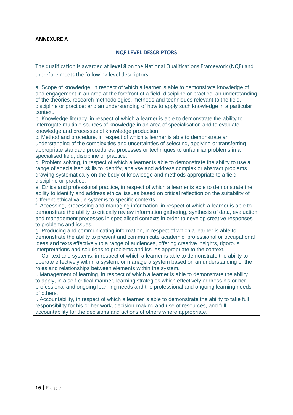#### **ANNEXURE A**

#### **NQF LEVEL DESCRIPTORS**

The qualification is awarded at **level 8** on the National Qualifications Framework (NQF) and therefore meets the following level descriptors:

a. Scope of knowledge, in respect of which a learner is able to demonstrate knowledge of and engagement in an area at the forefront of a field, discipline or practice; an understanding of the theories, research methodologies, methods and techniques relevant to the field, discipline or practice; and an understanding of how to apply such knowledge in a particular context.

b. Knowledge literacy, in respect of which a learner is able to demonstrate the ability to interrogate multiple sources of knowledge in an area of specialisation and to evaluate knowledge and processes of knowledge production.

c. Method and procedure, in respect of which a learner is able to demonstrate an understanding of the complexities and uncertainties of selecting, applying or transferring appropriate standard procedures, processes or techniques to unfamiliar problems in a specialised field, discipline or practice.

d. Problem solving, in respect of which a learner is able to demonstrate the ability to use a range of specialised skills to identify, analyse and address complex or abstract problems drawing systematically on the body of knowledge and methods appropriate to a field, discipline or practice.

e. Ethics and professional practice, in respect of which a learner is able to demonstrate the ability to identify and address ethical issues based on critical reflection on the suitability of different ethical value systems to specific contexts.

f. Accessing, processing and managing information, in respect of which a learner is able to demonstrate the ability to critically review information gathering, synthesis of data, evaluation and management processes in specialised contexts in order to develop creative responses to problems and issues.

g. Producing and communicating information, in respect of which a learner is able to demonstrate the ability to present and communicate academic, professional or occupational ideas and texts effectively to a range of audiences, offering creative insights, rigorous interpretations and solutions to problems and issues appropriate to the context.

h. Context and systems, in respect of which a learner is able to demonstrate the ability to operate effectively within a system, or manage a system based on an understanding of the roles and relationships between elements within the system.

i. Management of learning, in respect of which a learner is able to demonstrate the ability to apply, in a self-critical manner, learning strategies which effectively address his or her professional and ongoing learning needs and the professional and ongoing learning needs of others.

j. Accountability, in respect of which a learner is able to demonstrate the ability to take full responsibility for his or her work, decision-making and use of resources, and full accountability for the decisions and actions of others where appropriate.